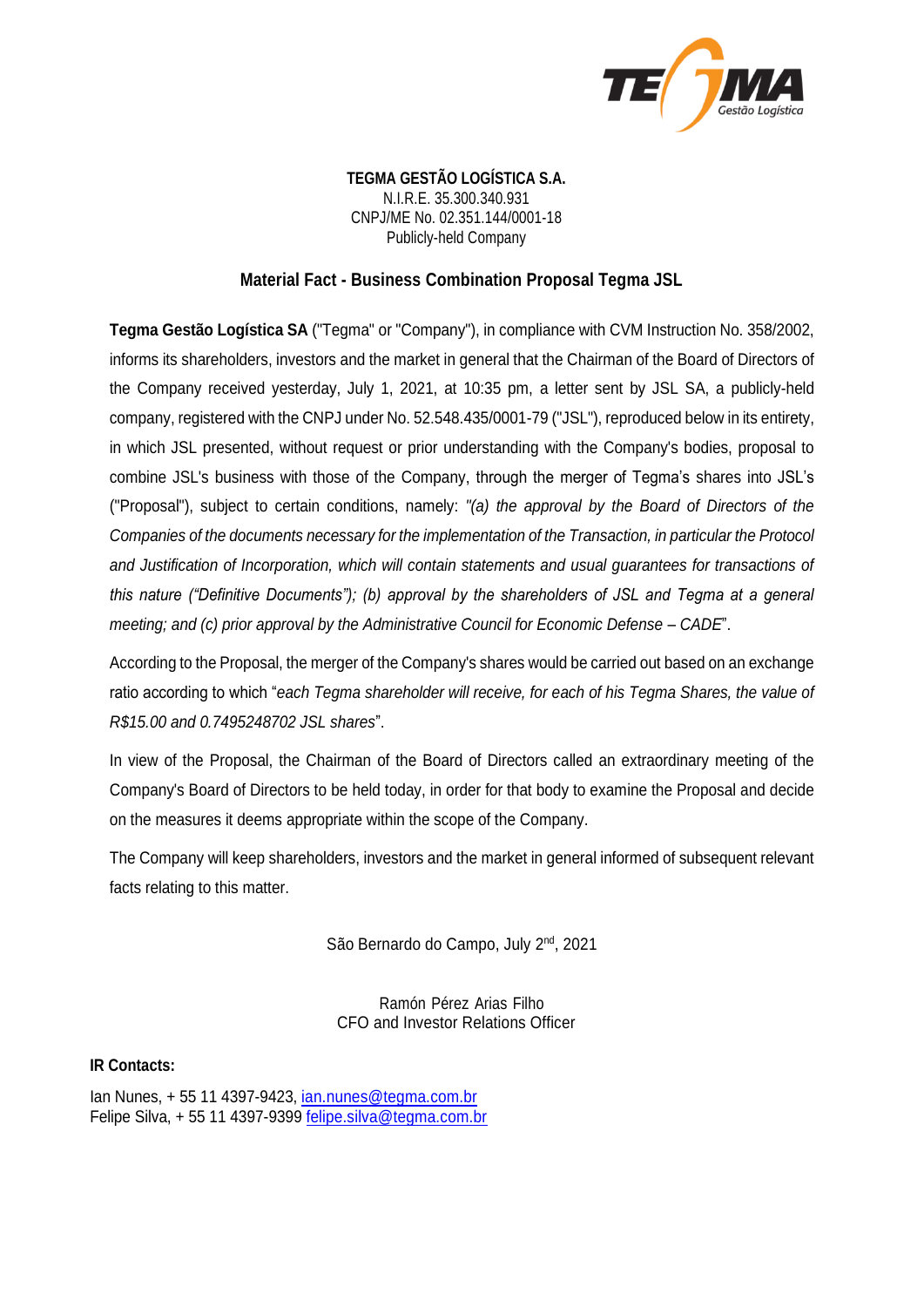

**TEGMA GESTÃO LOGÍSTICA S.A.** N.I.R.E. 35.300.340.931 CNPJ/ME No. 02.351.144/0001-18 Publicly-held Company

# **Material Fact - Business Combination Proposal Tegma JSL**

**Tegma Gestão Logística SA** ("Tegma" or "Company"), in compliance with CVM Instruction No. 358/2002, informs its shareholders, investors and the market in general that the Chairman of the Board of Directors of the Company received yesterday, July 1, 2021, at 10:35 pm, a letter sent by JSL SA, a publicly-held company, registered with the CNPJ under No. 52.548.435/0001-79 ("JSL"), reproduced below in its entirety, in which JSL presented, without request or prior understanding with the Company's bodies, proposal to combine JSL's business with those of the Company, through the merger of Tegma's shares into JSL's ("Proposal"), subject to certain conditions, namely: *"(a) the approval by the Board of Directors of the Companies of the documents necessary for the implementation of the Transaction, in particular the Protocol and Justification of Incorporation, which will contain statements and usual guarantees for transactions of this nature ("Definitive Documents"); (b) approval by the shareholders of JSL and Tegma at a general meeting; and (c) prior approval by the Administrative Council for Economic Defense – CADE*".

According to the Proposal, the merger of the Company's shares would be carried out based on an exchange ratio according to which "*each Tegma shareholder will receive, for each of his Tegma Shares, the value of R\$15.00 and 0.7495248702 JSL shares*".

In view of the Proposal, the Chairman of the Board of Directors called an extraordinary meeting of the Company's Board of Directors to be held today, in order for that body to examine the Proposal and decide on the measures it deems appropriate within the scope of the Company.

The Company will keep shareholders, investors and the market in general informed of subsequent relevant facts relating to this matter.

São Bernardo do Campo, July 2<sup>nd</sup>, 2021

Ramón Pérez Arias Filho CFO and Investor Relations Officer

#### **IR Contacts:**

Ian Nunes, + 55 11 4397-9423, [ian.nunes@tegma.com.br](mailto:ian.nunes@tegma.com.br) Felipe Silva, + 55 11 4397-9399 [felipe.silva@tegma.com.br](mailto:felipe.silva@tegma.com.br)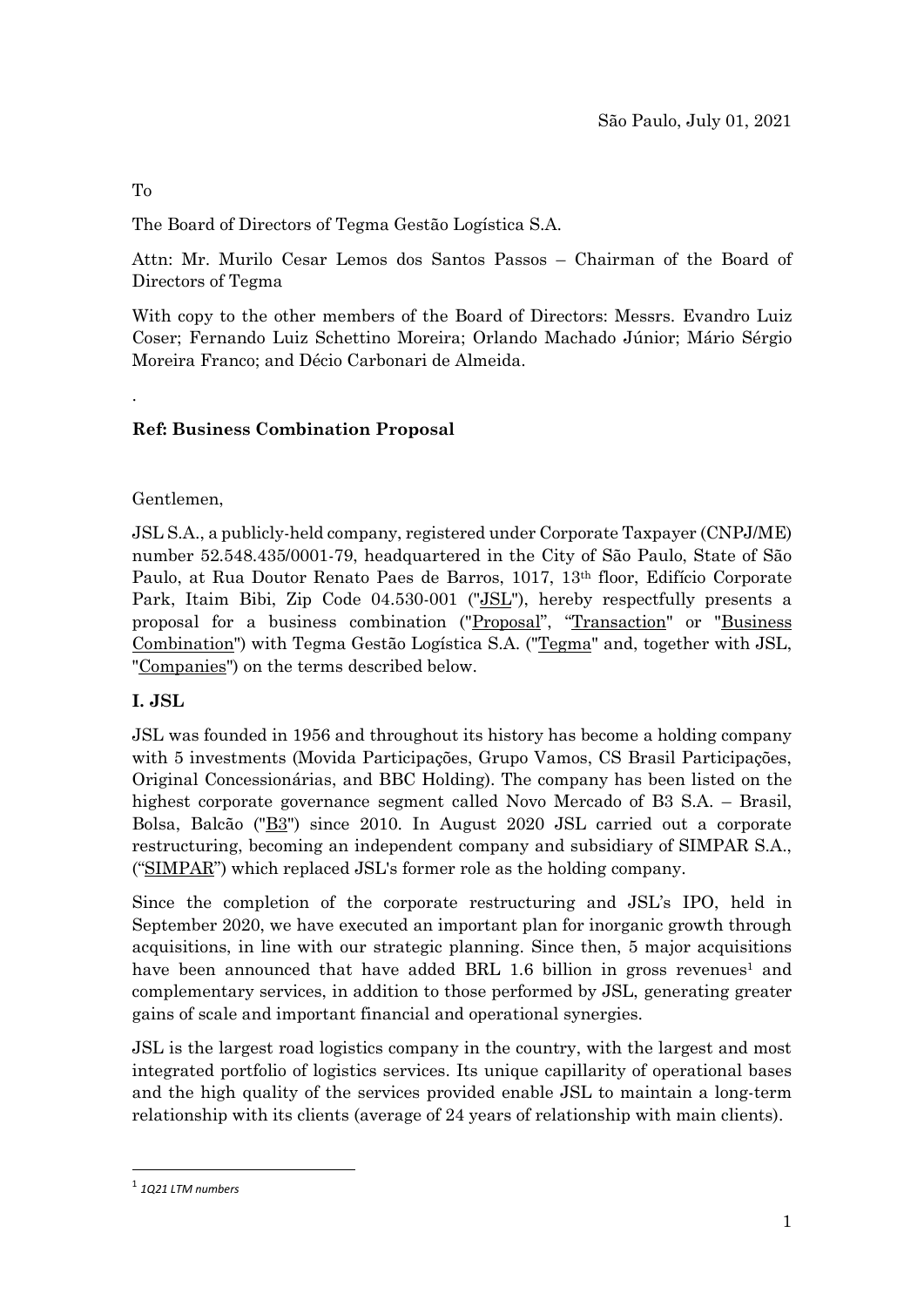#### To

.

The Board of Directors of Tegma Gestão Logística S.A.

Attn: Mr. Murilo Cesar Lemos dos Santos Passos – Chairman of the Board of Directors of Tegma

With copy to the other members of the Board of Directors: Messrs. Evandro Luiz Coser; Fernando Luiz Schettino Moreira; Orlando Machado Júnior; Mário Sérgio Moreira Franco; and Décio Carbonari de Almeida.

# **Ref: Business Combination Proposal**

#### Gentlemen,

JSL S.A., a publicly-held company, registered under Corporate Taxpayer (CNPJ/ME) number 52.548.435/0001-79, headquartered in the City of São Paulo, State of São Paulo, at Rua Doutor Renato Paes de Barros, 1017, 13<sup>th</sup> floor, Edifício Corporate Park, Itaim Bibi, Zip Code 04.530-001 ("JSL"), hereby respectfully presents a proposal for a business combination ("Proposal", "Transaction" or "Business Combination") with Tegma Gestão Logística S.A. ("Tegma" and, together with JSL, "Companies") on the terms described below.

# **I. JSL**

JSL was founded in 1956 and throughout its history has become a holding company with 5 investments (Movida Participações, Grupo Vamos, CS Brasil Participações, Original Concessionárias, and BBC Holding). The company has been listed on the highest corporate governance segment called Novo Mercado of B3 S.A. – Brasil, Bolsa, Balcão ("B3") since 2010. In August 2020 JSL carried out a corporate restructuring, becoming an independent company and subsidiary of SIMPAR S.A., ("SIMPAR") which replaced JSL's former role as the holding company.

Since the completion of the corporate restructuring and JSL's IPO, held in September 2020, we have executed an important plan for inorganic growth through acquisitions, in line with our strategic planning. Since then, 5 major acquisitions have been announced that have added BRL 1.6 billion in gross revenues<sup>1</sup> and complementary services, in addition to those performed by JSL, generating greater gains of scale and important financial and operational synergies.

JSL is the largest road logistics company in the country, with the largest and most integrated portfolio of logistics services. Its unique capillarity of operational bases and the high quality of the services provided enable JSL to maintain a long-term relationship with its clients (average of 24 years of relationship with main clients).

<sup>1</sup> *1Q21 LTM numbers*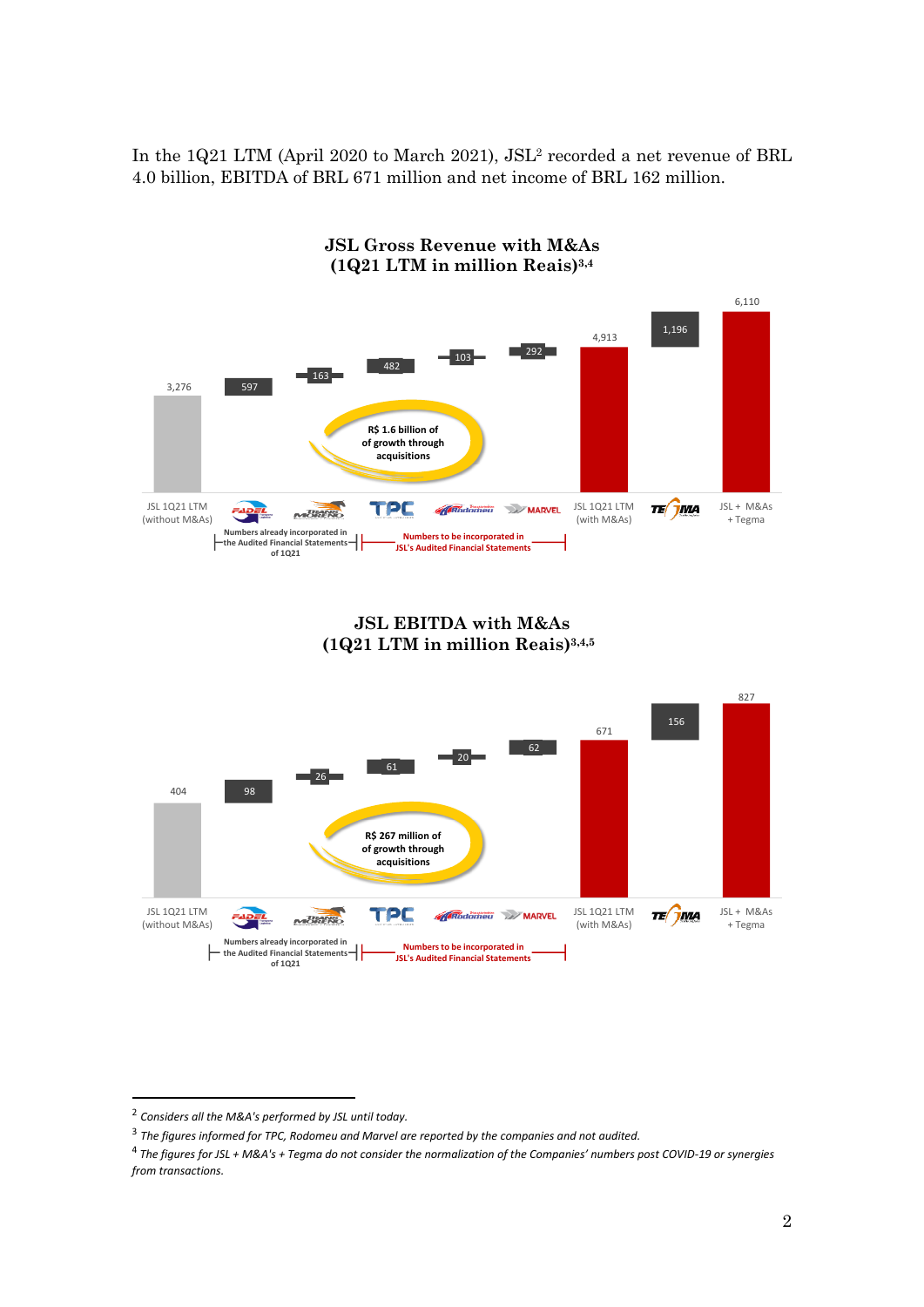In the 1Q21 LTM (April 2020 to March 2021), JSL<sup>2</sup> recorded a net revenue of BRL 4.0 billion, EBITDA of BRL 671 million and net income of BRL 162 million.



**JSL EBITDA with M&As (1Q21 LTM in million Reais)3,4,55**



<sup>2</sup> *Considers all the M&A's performed by JSL until today.*

<sup>3</sup> *The figures informed for TPC, Rodomeu and Marvel are reported by the companies and not audited.*

<sup>&</sup>lt;sup>4</sup> The figures for JSL + M&A's + Tegma do not consider the normalization of the Companies' numbers post COVID-19 or synergies *from transactions.*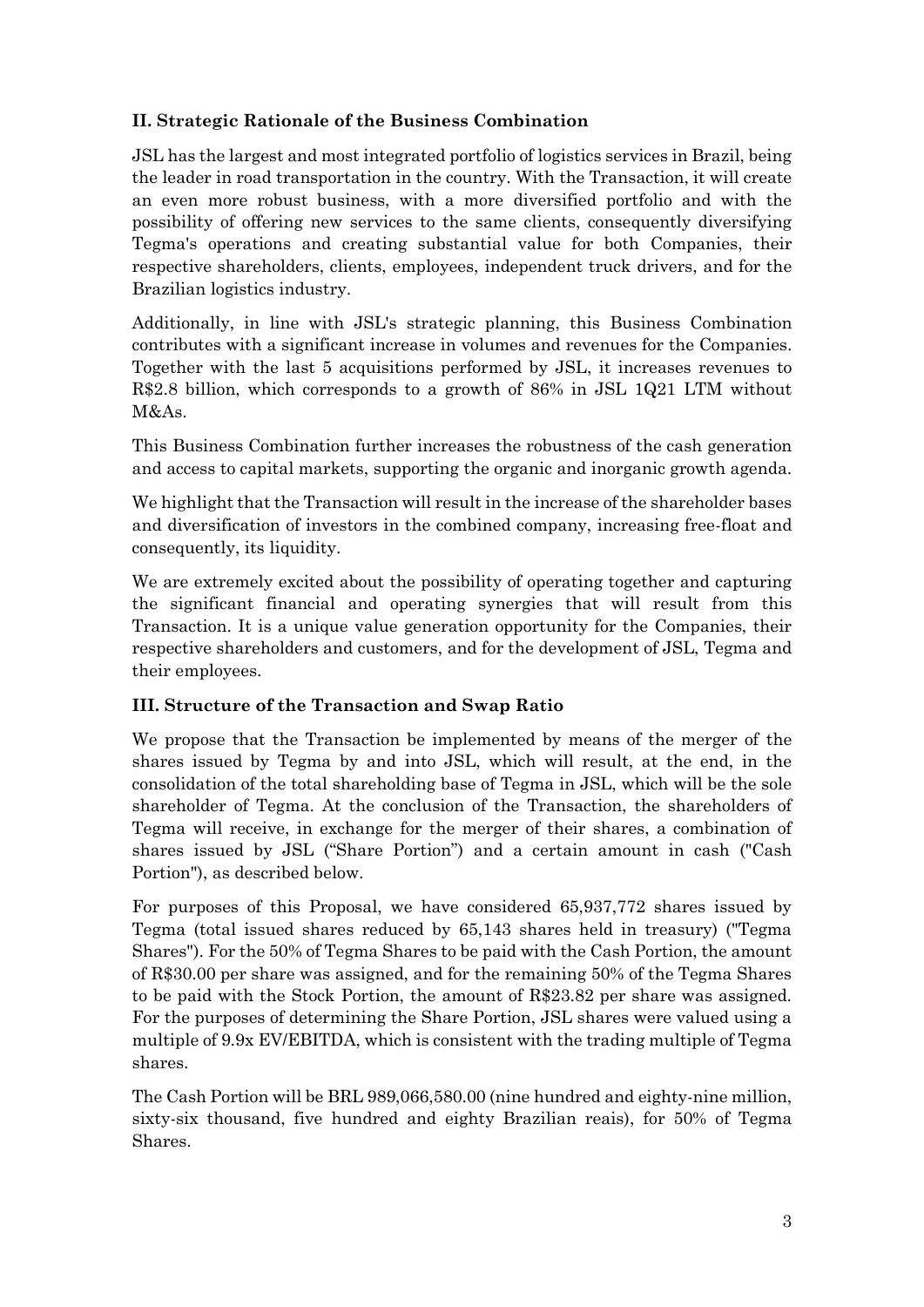# **II. Strategic Rationale of the Business Combination**

JSL has the largest and most integrated portfolio of logistics services in Brazil, being the leader in road transportation in the country. With the Transaction, it will create an even more robust business, with a more diversified portfolio and with the possibility of offering new services to the same clients, consequently diversifying Tegma's operations and creating substantial value for both Companies, their respective shareholders, clients, employees, independent truck drivers, and for the Brazilian logistics industry.

Additionally, in line with JSL's strategic planning, this Business Combination contributes with a significant increase in volumes and revenues for the Companies. Together with the last 5 acquisitions performed by JSL, it increases revenues to R\$2.8 billion, which corresponds to a growth of 86% in JSL 1Q21 LTM without M&As.

This Business Combination further increases the robustness of the cash generation and access to capital markets, supporting the organic and inorganic growth agenda.

We highlight that the Transaction will result in the increase of the shareholder bases and diversification of investors in the combined company, increasing free-float and consequently, its liquidity.

We are extremely excited about the possibility of operating together and capturing the significant financial and operating synergies that will result from this Transaction. It is a unique value generation opportunity for the Companies, their respective shareholders and customers, and for the development of JSL, Tegma and their employees.

# **III. Structure of the Transaction and Swap Ratio**

We propose that the Transaction be implemented by means of the merger of the shares issued by Tegma by and into JSL, which will result, at the end, in the consolidation of the total shareholding base of Tegma in JSL, which will be the sole shareholder of Tegma. At the conclusion of the Transaction, the shareholders of Tegma will receive, in exchange for the merger of their shares, a combination of shares issued by JSL ("Share Portion") and a certain amount in cash ("Cash Portion"), as described below.

For purposes of this Proposal, we have considered 65,937,772 shares issued by Tegma (total issued shares reduced by 65,143 shares held in treasury) ("Tegma Shares"). For the 50% of Tegma Shares to be paid with the Cash Portion, the amount of R\$30.00 per share was assigned, and for the remaining 50% of the Tegma Shares to be paid with the Stock Portion, the amount of R\$23.82 per share was assigned. For the purposes of determining the Share Portion, JSL shares were valued using a multiple of 9.9x EV/EBITDA, which is consistent with the trading multiple of Tegma shares.

The Cash Portion will be BRL 989,066,580.00 (nine hundred and eighty-nine million, sixty-six thousand, five hundred and eighty Brazilian reais), for 50% of Tegma Shares.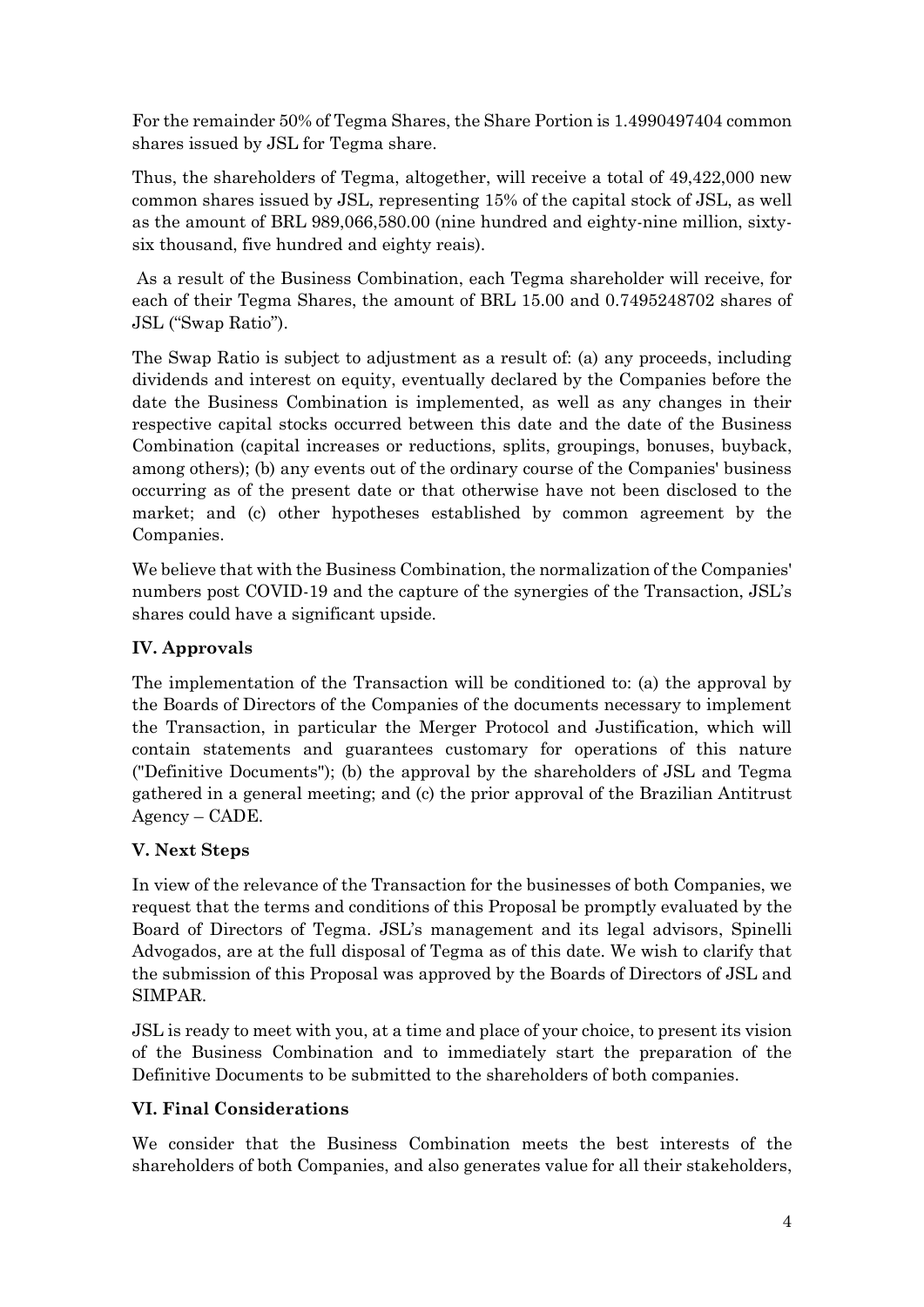For the remainder 50% of Tegma Shares, the Share Portion is 1.4990497404 common shares issued by JSL for Tegma share.

Thus, the shareholders of Tegma, altogether, will receive a total of 49,422,000 new common shares issued by JSL, representing 15% of the capital stock of JSL, as well as the amount of BRL 989,066,580.00 (nine hundred and eighty-nine million, sixtysix thousand, five hundred and eighty reais).

As a result of the Business Combination, each Tegma shareholder will receive, for each of their Tegma Shares, the amount of BRL 15.00 and 0.7495248702 shares of JSL ("Swap Ratio").

The Swap Ratio is subject to adjustment as a result of: (a) any proceeds, including dividends and interest on equity, eventually declared by the Companies before the date the Business Combination is implemented, as well as any changes in their respective capital stocks occurred between this date and the date of the Business Combination (capital increases or reductions, splits, groupings, bonuses, buyback, among others); (b) any events out of the ordinary course of the Companies' business occurring as of the present date or that otherwise have not been disclosed to the market; and (c) other hypotheses established by common agreement by the Companies.

We believe that with the Business Combination, the normalization of the Companies' numbers post COVID-19 and the capture of the synergies of the Transaction, JSL's shares could have a significant upside.

# **IV. Approvals**

The implementation of the Transaction will be conditioned to: (a) the approval by the Boards of Directors of the Companies of the documents necessary to implement the Transaction, in particular the Merger Protocol and Justification, which will contain statements and guarantees customary for operations of this nature ("Definitive Documents"); (b) the approval by the shareholders of JSL and Tegma gathered in a general meeting; and (c) the prior approval of the Brazilian Antitrust Agency – CADE.

# **V. Next Steps**

In view of the relevance of the Transaction for the businesses of both Companies, we request that the terms and conditions of this Proposal be promptly evaluated by the Board of Directors of Tegma. JSL's management and its legal advisors, Spinelli Advogados, are at the full disposal of Tegma as of this date. We wish to clarify that the submission of this Proposal was approved by the Boards of Directors of JSL and SIMPAR.

JSL is ready to meet with you, at a time and place of your choice, to present its vision of the Business Combination and to immediately start the preparation of the Definitive Documents to be submitted to the shareholders of both companies.

# **VI. Final Considerations**

We consider that the Business Combination meets the best interests of the shareholders of both Companies, and also generates value for all their stakeholders,